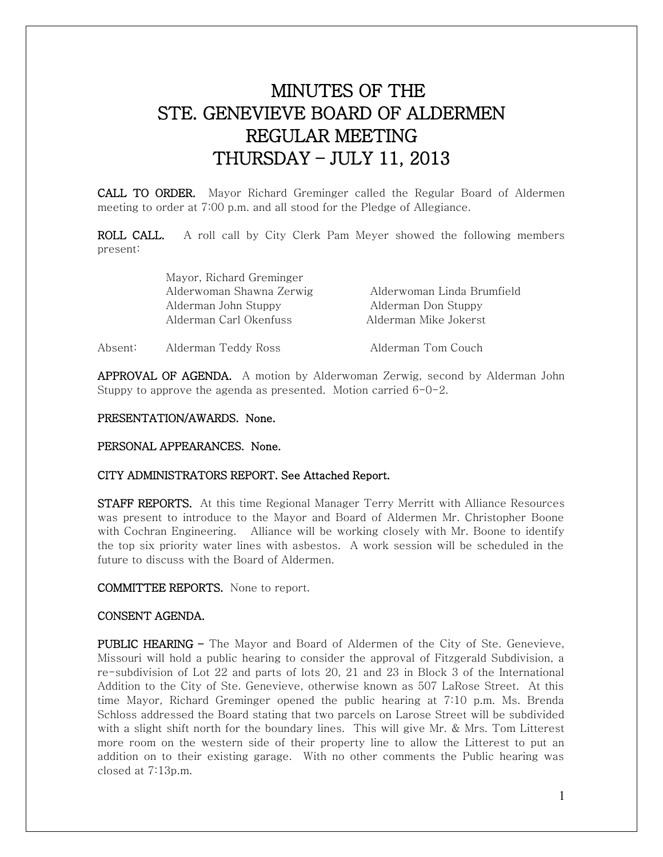# MINUTES OF THE STE. GENEVIEVE BOARD OF ALDERMEN REGULAR MEETING THURSDAY – JULY 11, 2013

CALL TO ORDER. Mayor Richard Greminger called the Regular Board of Aldermen meeting to order at 7:00 p.m. and all stood for the Pledge of Allegiance.

ROLL CALL. A roll call by City Clerk Pam Meyer showed the following members present:

|         | Mayor, Richard Greminger |                            |
|---------|--------------------------|----------------------------|
|         | Alderwoman Shawna Zerwig | Alderwoman Linda Brumfield |
|         | Alderman John Stuppy     | Alderman Don Stuppy        |
|         | Alderman Carl Okenfuss   | Alderman Mike Jokerst      |
| Absent: | Alderman Teddy Ross      | Alderman Tom Couch         |

APPROVAL OF AGENDA. A motion by Alderwoman Zerwig, second by Alderman John Stuppy to approve the agenda as presented. Motion carried 6-0-2.

#### PRESENTATION/AWARDS. None.

PERSONAL APPEARANCES. None.

### CITY ADMINISTRATORS REPORT. See Attached Report.

**STAFF REPORTS.** At this time Regional Manager Terry Merritt with Alliance Resources was present to introduce to the Mayor and Board of Aldermen Mr. Christopher Boone with Cochran Engineering. Alliance will be working closely with Mr. Boone to identify the top six priority water lines with asbestos. A work session will be scheduled in the future to discuss with the Board of Aldermen.

COMMITTEE REPORTS. None to report.

# CONSENT AGENDA.

**PUBLIC HEARING –** The Mayor and Board of Aldermen of the City of Ste. Genevieve, Missouri will hold a public hearing to consider the approval of Fitzgerald Subdivision, a re-subdivision of Lot 22 and parts of lots 20, 21 and 23 in Block 3 of the International Addition to the City of Ste. Genevieve, otherwise known as 507 LaRose Street. At this time Mayor, Richard Greminger opened the public hearing at 7:10 p.m. Ms. Brenda Schloss addressed the Board stating that two parcels on Larose Street will be subdivided with a slight shift north for the boundary lines. This will give Mr. & Mrs. Tom Litterest more room on the western side of their property line to allow the Litterest to put an addition on to their existing garage. With no other comments the Public hearing was closed at 7:13p.m.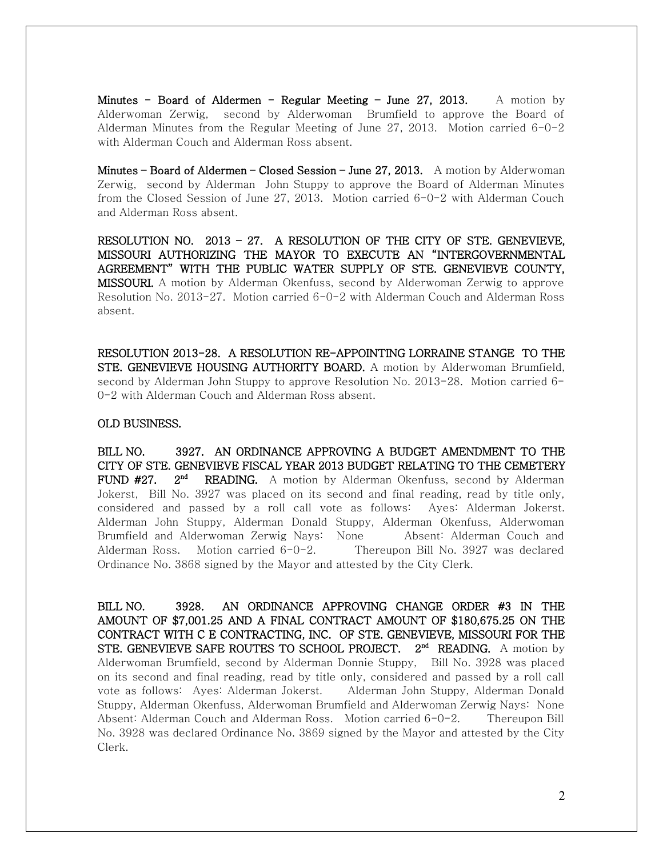Minutes - Board of Aldermen - Regular Meeting - June 27, 2013. A motion by Alderwoman Zerwig, second by Alderwoman Brumfield to approve the Board of Alderman Minutes from the Regular Meeting of June 27, 2013. Motion carried  $6\negmedspace-\negmedspace2$ with Alderman Couch and Alderman Ross absent.

Minutes – Board of Aldermen – Closed Session – June 27, 2013. A motion by Alderwoman Zerwig, second by Alderman John Stuppy to approve the Board of Alderman Minutes from the Closed Session of June 27, 2013. Motion carried 6-0-2 with Alderman Couch and Alderman Ross absent.

RESOLUTION NO. 2013 – 27. A RESOLUTION OF THE CITY OF STE. GENEVIEVE, MISSOURI AUTHORIZING THE MAYOR TO EXECUTE AN "INTERGOVERNMENTAL AGREEMENT" WITH THE PUBLIC WATER SUPPLY OF STE. GENEVIEVE COUNTY, MISSOURI. A motion by Alderman Okenfuss, second by Alderwoman Zerwig to approve Resolution No. 2013-27. Motion carried 6-0-2 with Alderman Couch and Alderman Ross absent.

RESOLUTION 2013-28. A RESOLUTION RE-APPOINTING LORRAINE STANGE TO THE STE. GENEVIEVE HOUSING AUTHORITY BOARD. A motion by Alderwoman Brumfield, second by Alderman John Stuppy to approve Resolution No. 2013-28. Motion carried 6- 0-2 with Alderman Couch and Alderman Ross absent.

#### OLD BUSINESS.

BILL NO. 3927. AN ORDINANCE APPROVING A BUDGET AMENDMENT TO THE CITY OF STE. GENEVIEVE FISCAL YEAR 2013 BUDGET RELATING TO THE CEMETERY **FUND #27.**  $2^{nd}$  **READING.** A motion by Alderman Okenfuss, second by Alderman Jokerst, Bill No. 3927 was placed on its second and final reading, read by title only, considered and passed by a roll call vote as follows: Ayes: Alderman Jokerst. Alderman John Stuppy, Alderman Donald Stuppy, Alderman Okenfuss, Alderwoman Brumfield and Alderwoman Zerwig Nays: None Absent: Alderman Couch and Alderman Ross. Motion carried 6-0-2. Thereupon Bill No. 3927 was declared Ordinance No. 3868 signed by the Mayor and attested by the City Clerk.

BILL NO. 3928. AN ORDINANCE APPROVING CHANGE ORDER #3 IN THE AMOUNT OF \$7,001.25 AND A FINAL CONTRACT AMOUNT OF \$180,675.25 ON THE CONTRACT WITH C E CONTRACTING, INC. OF STE. GENEVIEVE, MISSOURI FOR THE STE. GENEVIEVE SAFE ROUTES TO SCHOOL PROJECT.  $2<sup>nd</sup>$  READING. A motion by Alderwoman Brumfield, second by Alderman Donnie Stuppy, Bill No. 3928 was placed on its second and final reading, read by title only, considered and passed by a roll call vote as follows: Ayes: Alderman Jokerst. Alderman John Stuppy, Alderman Donald Stuppy, Alderman Okenfuss, Alderwoman Brumfield and Alderwoman Zerwig Nays: None Absent: Alderman Couch and Alderman Ross. Motion carried 6-0-2. Thereupon Bill No. 3928 was declared Ordinance No. 3869 signed by the Mayor and attested by the City Clerk.